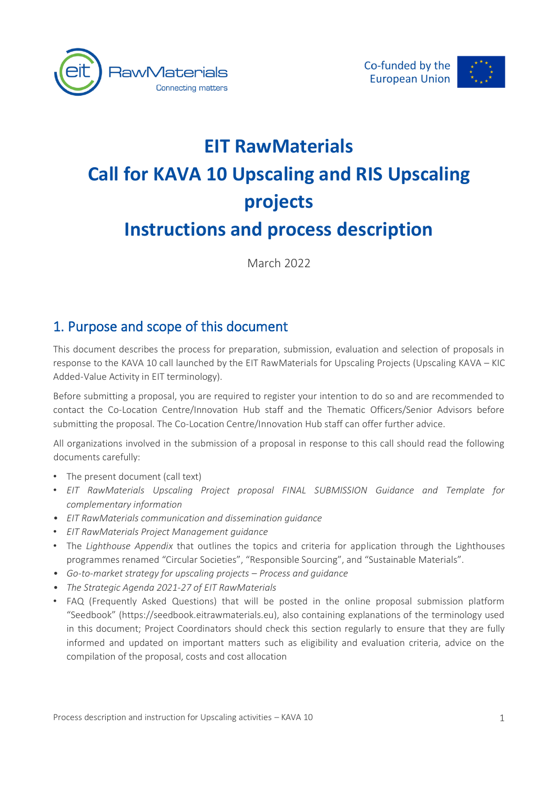



# **EIT RawMaterials Call for KAVA 10 Upscaling and RIS Upscaling projects Instructions and process description**

March 2022

# 1. Purpose and scope of this document

This document describes the process for preparation, submission, evaluation and selection of proposals in response to the KAVA 10 call launched by the EIT RawMaterials for Upscaling Projects (Upscaling KAVA – KIC Added-Value Activity in EIT terminology).

Before submitting a proposal, you are required to register your intention to do so and are recommended to contact the Co-Location Centre/Innovation Hub staff and the Thematic Officers/Senior Advisors before submitting the proposal. The Co-Location Centre/Innovation Hub staff can offer further advice.

All organizations involved in the submission of a proposal in response to this call should read the following documents carefully:

- The present document (call text)
- *EIT RawMaterials Upscaling Project proposal FINAL SUBMISSION Guidance and Template for complementary information*
- *EIT RawMaterials communication and dissemination guidance*
- *EIT RawMaterials Project Management guidance*
- The *Lighthouse Appendix* that outlines the topics and criteria for application through the Lighthouses programmes renamed "Circular Societies", "Responsible Sourcing", and "Sustainable Materials".
- *Go-to-market strategy for upscaling projects – Process and guidance*
- *The Strategic Agenda 2021-27 of EIT RawMaterials*
- FAQ (Frequently Asked Questions) that will be posted in the online proposal submission platform "Seedbook" (https://seedbook.eitrawmaterials.eu), also containing explanations of the terminology used in this document; Project Coordinators should check this section regularly to ensure that they are fully informed and updated on important matters such as eligibility and evaluation criteria, advice on the compilation of the proposal, costs and cost allocation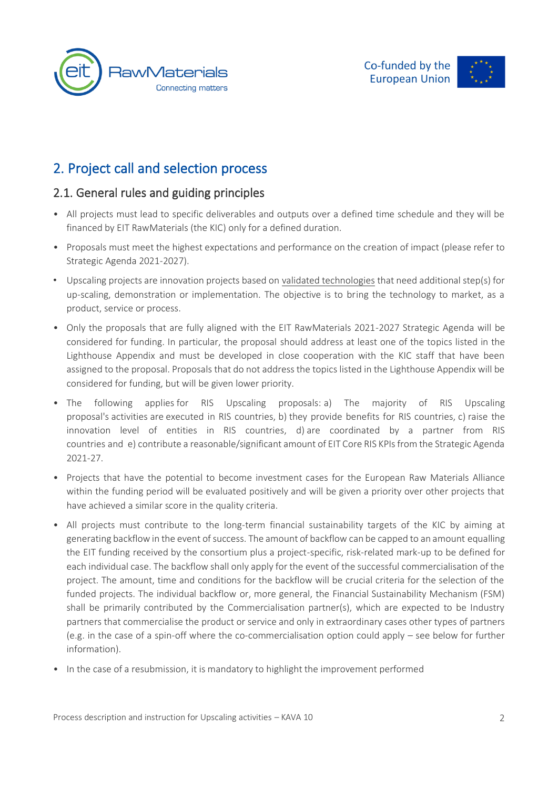



# 2. Project call and selection process

### 2.1. General rules and guiding principles

- All projects must lead to specific deliverables and outputs over a defined time schedule and they will be financed by EIT RawMaterials (the KIC) only for a defined duration.
- Proposals must meet the highest expectations and performance on the creation of impact (please refer to Strategic Agenda 2021-2027).
- Upscaling projects are innovation projects based on validated technologies that need additional step(s) for up-scaling, demonstration or implementation. The objective is to bring the technology to market, as a product, service or process.
- Only the proposals that are fully aligned with the EIT RawMaterials 2021-2027 Strategic Agenda will be considered for funding. In particular, the proposal should address at least one of the topics listed in the Lighthouse Appendix and must be developed in close cooperation with the KIC staff that have been assigned to the proposal. Proposals that do not address the topics listed in the Lighthouse Appendix will be considered for funding, but will be given lower priority.
- The following applies for RIS Upscaling proposals: a) The majority of RIS Upscaling proposal's activities are executed in RIS countries, b) they provide benefits for RIS countries, c) raise the innovation level of entities in RIS countries, d) are coordinated by a partner from RIS countries and e) contribute a reasonable/significant amount of EIT Core RIS KPIs from the Strategic Agenda 2021-27.
- Projects that have the potential to become investment cases for the European Raw Materials Alliance within the funding period will be evaluated positively and will be given a priority over other projects that have achieved a similar score in the quality criteria.
- All projects must contribute to the long-term financial sustainability targets of the KIC by aiming at generating backflow in the event of success. The amount of backflow can be capped to an amount equalling the EIT funding received by the consortium plus a project-specific, risk-related mark-up to be defined for each individual case. The backflow shall only apply for the event of the successful commercialisation of the project. The amount, time and conditions for the backflow will be crucial criteria for the selection of the funded projects. The individual backflow or, more general, the Financial Sustainability Mechanism (FSM) shall be primarily contributed by the Commercialisation partner(s), which are expected to be Industry partners that commercialise the product or service and only in extraordinary cases other types of partners (e.g. in the case of a spin-off where the co-commercialisation option could apply – see below for further information).
- In the case of a resubmission, it is mandatory to highlight the improvement performed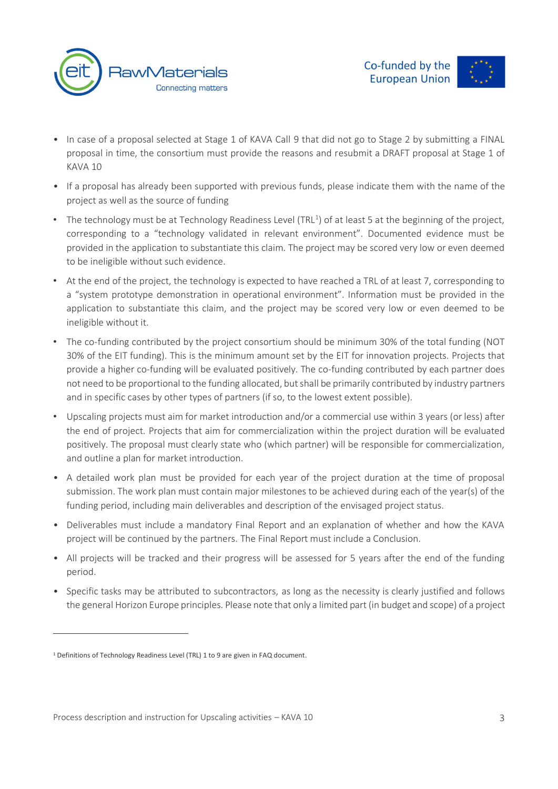



- In case of a proposal selected at Stage 1 of KAVA Call 9 that did not go to Stage 2 by submitting a FINAL proposal in time, the consortium must provide the reasons and resubmit a DRAFT proposal at Stage 1 of KAVA 10
- If a proposal has already been supported with previous funds, please indicate them with the name of the project as well as the source of funding
- The technology must be at Technology Readiness Level (TRL<sup>1</sup>) of at least 5 at the beginning of the project, corresponding to a "technology validated in relevant environment". Documented evidence must be provided in the application to substantiate this claim. The project may be scored very low or even deemed to be ineligible without such evidence.
- At the end of the project, the technology is expected to have reached a TRL of at least 7, corresponding to a "system prototype demonstration in operational environment". Information must be provided in the application to substantiate this claim, and the project may be scored very low or even deemed to be ineligible without it.
- The co-funding contributed by the project consortium should be minimum 30% of the total funding (NOT 30% of the EIT funding). This is the minimum amount set by the EIT for innovation projects. Projects that provide a higher co-funding will be evaluated positively. The co-funding contributed by each partner does not need to be proportional to the funding allocated, but shall be primarily contributed by industry partners and in specific cases by other types of partners (if so, to the lowest extent possible).
- Upscaling projects must aim for market introduction and/or a commercial use within 3 years (or less) after the end of project. Projects that aim for commercialization within the project duration will be evaluated positively. The proposal must clearly state who (which partner) will be responsible for commercialization, and outline a plan for market introduction.
- A detailed work plan must be provided for each year of the project duration at the time of proposal submission. The work plan must contain major milestones to be achieved during each of the year(s) of the funding period, including main deliverables and description of the envisaged project status.
- Deliverables must include a mandatory Final Report and an explanation of whether and how the KAVA project will be continued by the partners. The Final Report must include a Conclusion.
- All projects will be tracked and their progress will be assessed for 5 years after the end of the funding period.
- Specific tasks may be attributed to subcontractors, as long as the necessity is clearly justified and follows the general Horizon Europe principles. Please note that only a limited part (in budget and scope) of a project

<sup>&</sup>lt;sup>1</sup> Definitions of Technology Readiness Level (TRL) 1 to 9 are given in FAQ document.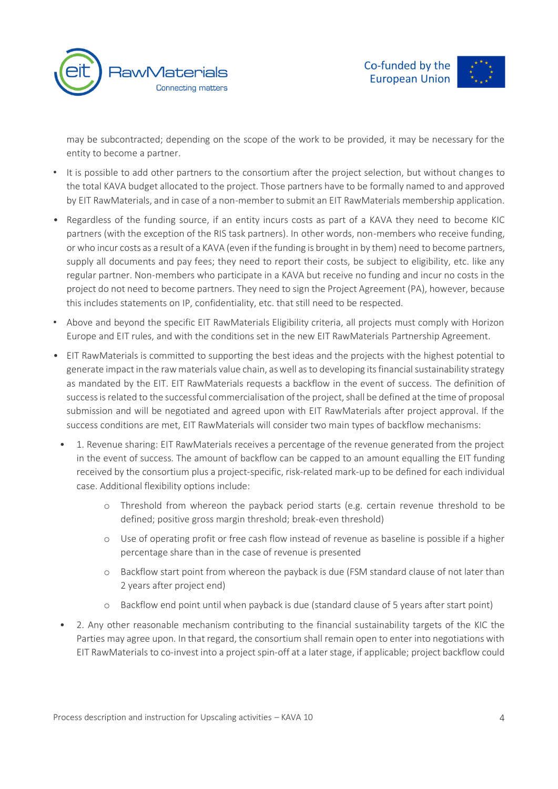

may be subcontracted; depending on the scope of the work to be provided, it may be necessary for the entity to become a partner.

- It is possible to add other partners to the consortium after the project selection, but without changes to the total KAVA budget allocated to the project. Those partners have to be formally named to and approved by EIT RawMaterials, and in case of a non-member to submit an EIT RawMaterials membership application.
- Regardless of the funding source, if an entity incurs costs as part of a KAVA they need to become KIC partners (with the exception of the RIS task partners). In other words, non-members who receive funding, or who incur costs as a result of a KAVA (even if the funding is brought in by them) need to become partners, supply all documents and pay fees; they need to report their costs, be subject to eligibility, etc. like any regular partner. Non-members who participate in a KAVA but receive no funding and incur no costs in the project do not need to become partners. They need to sign the Project Agreement (PA), however, because this includes statements on IP, confidentiality, etc. that still need to be respected.
- Above and beyond the specific EIT RawMaterials Eligibility criteria, all projects must comply with Horizon Europe and EIT rules, and with the conditions set in the new EIT RawMaterials Partnership Agreement.
- EIT RawMaterials is committed to supporting the best ideas and the projects with the highest potential to generate impact in the raw materials value chain, as well as to developing its financial sustainability strategy as mandated by the EIT. EIT RawMaterials requests a backflow in the event of success. The definition of success is related to the successful commercialisation of the project, shall be defined at the time of proposal submission and will be negotiated and agreed upon with EIT RawMaterials after project approval. If the success conditions are met, EIT RawMaterials will consider two main types of backflow mechanisms:
	- 1. Revenue sharing: EIT RawMaterials receives a percentage of the revenue generated from the project in the event of success. The amount of backflow can be capped to an amount equalling the EIT funding received by the consortium plus a project-specific, risk-related mark-up to be defined for each individual case. Additional flexibility options include:
		- o Threshold from whereon the payback period starts (e.g. certain revenue threshold to be defined; positive gross margin threshold; break-even threshold)
		- o Use of operating profit or free cash flow instead of revenue as baseline is possible if a higher percentage share than in the case of revenue is presented
		- o Backflow start point from whereon the payback is due (FSM standard clause of not later than 2 years after project end)
		- o Backflow end point until when payback is due (standard clause of 5 years after start point)
	- 2. Any other reasonable mechanism contributing to the financial sustainability targets of the KIC the Parties may agree upon. In that regard, the consortium shall remain open to enter into negotiations with EIT RawMaterials to co-invest into a project spin-off at a later stage, if applicable; project backflow could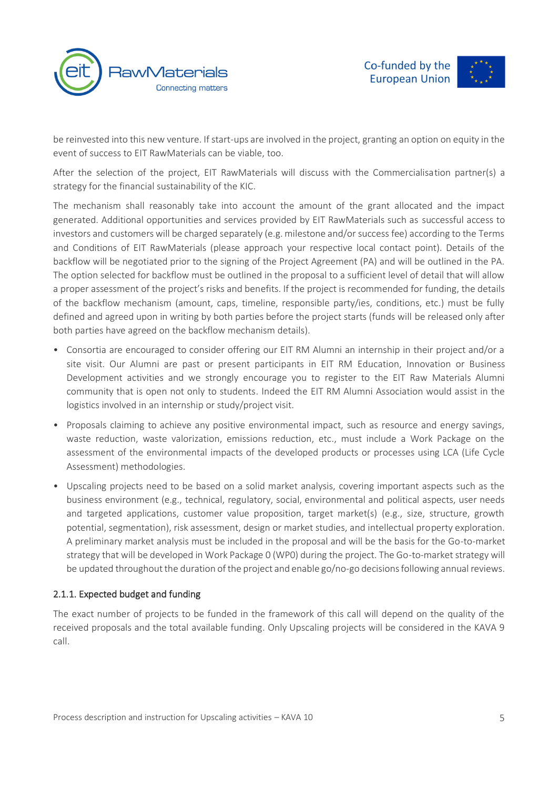



be reinvested into this new venture. If start-ups are involved in the project, granting an option on equity in the event of success to EIT RawMaterials can be viable, too.

After the selection of the project, EIT RawMaterials will discuss with the Commercialisation partner(s) a strategy for the financial sustainability of the KIC.

The mechanism shall reasonably take into account the amount of the grant allocated and the impact generated. Additional opportunities and services provided by EIT RawMaterials such as successful access to investors and customers will be charged separately (e.g. milestone and/or success fee) according to the Terms and Conditions of EIT RawMaterials (please approach your respective local contact point). Details of the backflow will be negotiated prior to the signing of the Project Agreement (PA) and will be outlined in the PA. The option selected for backflow must be outlined in the proposal to a sufficient level of detail that will allow a proper assessment of the project's risks and benefits. If the project is recommended for funding, the details of the backflow mechanism (amount, caps, timeline, responsible party/ies, conditions, etc.) must be fully defined and agreed upon in writing by both parties before the project starts (funds will be released only after both parties have agreed on the backflow mechanism details).

- Consortia are encouraged to consider offering our EIT RM Alumni an internship in their project and/or a site visit. Our Alumni are past or present participants in EIT RM Education, Innovation or Business Development activities and we strongly encourage you to register to the EIT Raw Materials Alumni community that is open not only to students. Indeed the EIT RM Alumni Association would assist in the logistics involved in an internship or study/project visit.
- Proposals claiming to achieve any positive environmental impact, such as resource and energy savings, waste reduction, waste valorization, emissions reduction, etc., must include a Work Package on the assessment of the environmental impacts of the developed products or processes using LCA (Life Cycle Assessment) methodologies.
- Upscaling projects need to be based on a solid market analysis, covering important aspects such as the business environment (e.g., technical, regulatory, social, environmental and political aspects, user needs and targeted applications, customer value proposition, target market(s) (e.g., size, structure, growth potential, segmentation), risk assessment, design or market studies, and intellectual property exploration. A preliminary market analysis must be included in the proposal and will be the basis for the Go-to-market strategy that will be developed in Work Package 0 (WP0) during the project. The Go-to-market strategy will be updated throughout the duration of the project and enable go/no-go decisions following annual reviews.

#### 2.1.1. Expected budget and funding

The exact number of projects to be funded in the framework of this call will depend on the quality of the received proposals and the total available funding. Only Upscaling projects will be considered in the KAVA 9 call.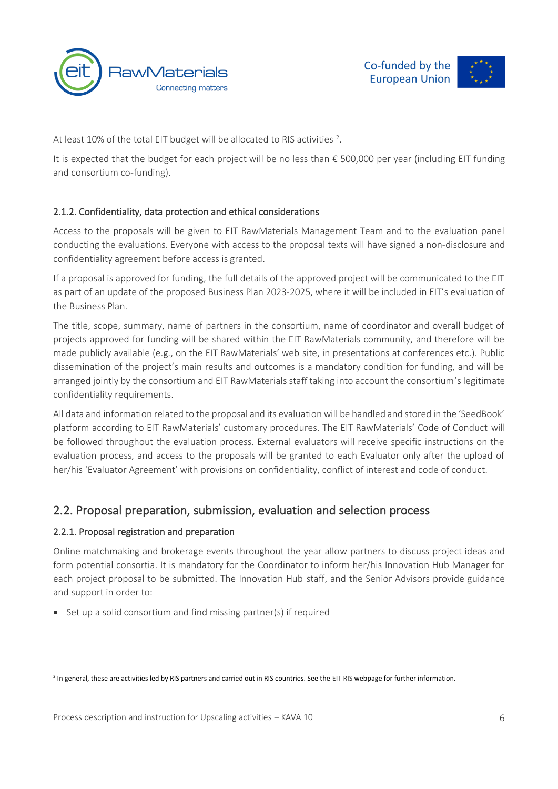



At least 10% of the total EIT budget will be allocated to RIS activities  $2$ .

It is expected that the budget for each project will be no less than € 500,000 per year (including EIT funding and consortium co-funding).

#### 2.1.2. Confidentiality, data protection and ethical considerations

Access to the proposals will be given to EIT RawMaterials Management Team and to the evaluation panel conducting the evaluations. Everyone with access to the proposal texts will have signed a non-disclosure and confidentiality agreement before access is granted.

If a proposal is approved for funding, the full details of the approved project will be communicated to the EIT as part of an update of the proposed Business Plan 2023-2025, where it will be included in EIT's evaluation of the Business Plan.

The title, scope, summary, name of partners in the consortium, name of coordinator and overall budget of projects approved for funding will be shared within the EIT RawMaterials community, and therefore will be made publicly available (e.g., on the EIT RawMaterials' web site, in presentations at conferences etc.). Public dissemination of the project's main results and outcomes is a mandatory condition for funding, and will be arranged jointly by the consortium and EIT RawMaterials staff taking into account the consortium's legitimate confidentiality requirements.

All data and information related to the proposal and its evaluation will be handled and stored in the 'SeedBook' platform according to EIT RawMaterials' customary procedures. The EIT RawMaterials' Code of Conduct will be followed throughout the evaluation process. External evaluators will receive specific instructions on the evaluation process, and access to the proposals will be granted to each Evaluator only after the upload of her/his 'Evaluator Agreement' with provisions on confidentiality, conflict of interest and code of conduct.

### 2.2. Proposal preparation, submission, evaluation and selection process

#### 2.2.1. Proposal registration and preparation

Online matchmaking and brokerage events throughout the year allow partners to discuss project ideas and form potential consortia. It is mandatory for the Coordinator to inform her/his Innovation Hub Manager for each project proposal to be submitted. The Innovation Hub staff, and the Senior Advisors provide guidance and support in order to:

• Set up a solid consortium and find missing partner(s) if required

<sup>&</sup>lt;sup>2</sup> In general, these are activities led by RIS partners and carried out in RIS countries. See th[e EIT RIS](https://eit.europa.eu/our-activities/eit-regional-innovation-scheme-ris) webpage for further information.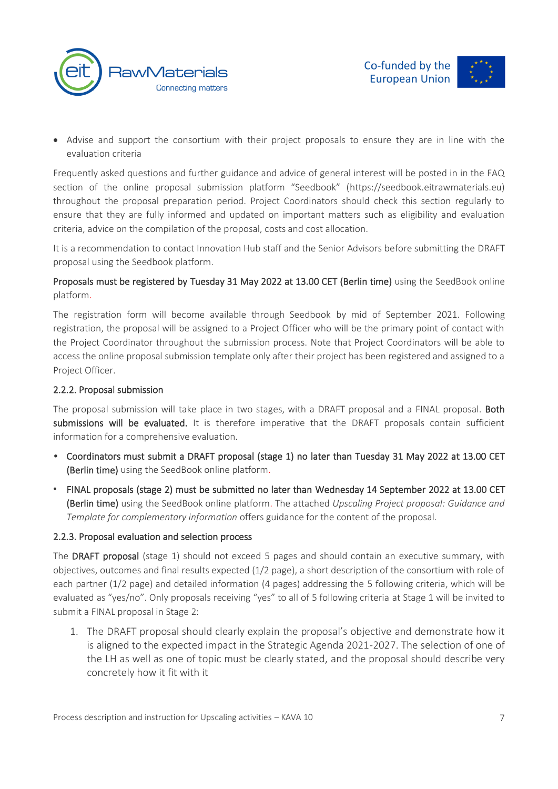



• Advise and support the consortium with their project proposals to ensure they are in line with the evaluation criteria

Frequently asked questions and further guidance and advice of general interest will be posted in in the FAQ section of the online proposal submission platform "Seedbook" ([https://seedbook.eitrawmaterials.eu\)](https://seedbook.eitrawmaterials.eu)/) throughout the proposal preparation period. Project Coordinators should check this section regularly to ensure that they are fully informed and updated on important matters such as eligibility and evaluation criteria, advice on the compilation of the proposal, costs and cost allocation.

It is a recommendation to contact Innovation Hub staff and the Senior Advisors before submitting the DRAFT proposal using the Seedbook platform.

#### Proposals must be registered by Tuesday 31 May 2022 at 13.00 CET (Berlin time) using the SeedBook online platform.

The registration form will become available through Seedbook by mid of September 2021. Following registration, the proposal will be assigned to a Project Officer who will be the primary point of contact with the Project Coordinator throughout the submission process. Note that Project Coordinators will be able to access the online proposal submission template only after their project has been registered and assigned to a Project Officer.

#### 2.2.2. Proposal submission

The proposal submission will take place in two stages, with a DRAFT proposal and a FINAL proposal. Both submissions will be evaluated. It is therefore imperative that the DRAFT proposals contain sufficient information for a comprehensive evaluation.

- Coordinators must submit a DRAFT proposal (stage 1) no later than Tuesday 31 May 2022 at 13.00 CET (Berlin time) using the SeedBook online platform.
- FINAL proposals (stage 2) must be submitted no later than Wednesday 14 September 2022 at 13.00 CET (Berlin time) using the SeedBook online platform. The attached *Upscaling Project proposal: Guidance and Template for complementary information* offers guidance for the content of the proposal.

#### 2.2.3. Proposal evaluation and selection process

The DRAFT proposal (stage 1) should not exceed 5 pages and should contain an executive summary, with objectives, outcomes and final results expected (1/2 page), a short description of the consortium with role of each partner (1/2 page) and detailed information (4 pages) addressing the 5 following criteria, which will be evaluated as "yes/no". Only proposals receiving "yes" to all of 5 following criteria at Stage 1 will be invited to submit a FINAL proposal in Stage 2:

1. The DRAFT proposal should clearly explain the proposal's objective and demonstrate how it is aligned to the expected impact in the Strategic Agenda 2021-2027. The selection of one of the LH as well as one of topic must be clearly stated, and the proposal should describe very concretely how it fit with it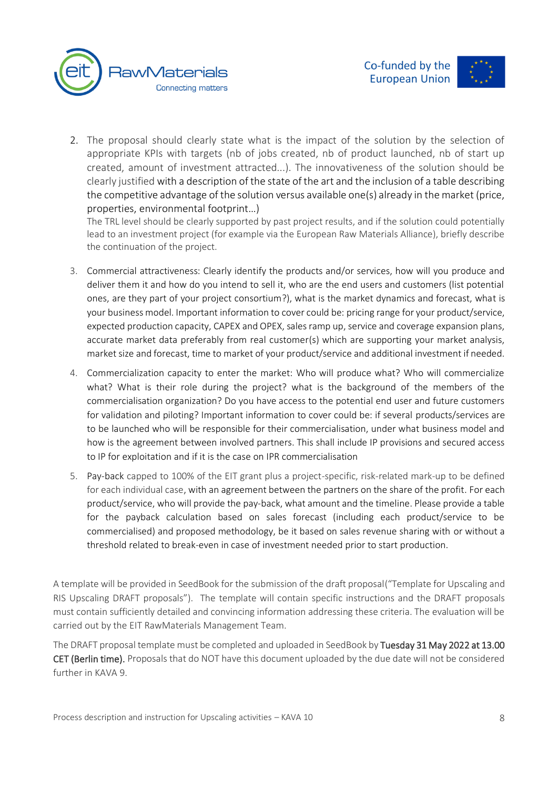

2. The proposal should clearly state what is the impact of the solution by the selection of appropriate KPIs with targets (nb of jobs created, nb of product launched, nb of start up created, amount of investment attracted...). The innovativeness of the solution should be clearly justified with a description of the state of the art and the inclusion of a table describing the competitive advantage of the solution versus available one(s) already in the market (price, properties, environmental footprint…)

The TRL level should be clearly supported by past project results, and if the solution could potentially lead to an investment project (for example via the European Raw Materials Alliance), briefly describe the continuation of the project.

- 3. Commercial attractiveness: Clearly identify the products and/or services, how will you produce and deliver them it and how do you intend to sell it, who are the end users and customers (list potential ones, are they part of your project consortium?), what is the market dynamics and forecast, what is your business model. Important information to cover could be: pricing range for your product/service, expected production capacity, CAPEX and OPEX, sales ramp up, service and coverage expansion plans, accurate market data preferably from real customer(s) which are supporting your market analysis, market size and forecast, time to market of your product/service and additional investment if needed.
- 4. Commercialization capacity to enter the market: Who will produce what? Who will commercialize what? What is their role during the project? what is the background of the members of the commercialisation organization? Do you have access to the potential end user and future customers for validation and piloting? Important information to cover could be: if several products/services are to be launched who will be responsible for their commercialisation, under what business model and how is the agreement between involved partners. This shall include IP provisions and secured access to IP for exploitation and if it is the case on IPR commercialisation
- 5. Pay-back capped to 100% of the EIT grant plus a project-specific, risk-related mark-up to be defined for each individual case, with an agreement between the partners on the share of the profit. For each product/service, who will provide the pay-back, what amount and the timeline. Please provide a table for the payback calculation based on sales forecast (including each product/service to be commercialised) and proposed methodology, be it based on sales revenue sharing with or without a threshold related to break-even in case of investment needed prior to start production.

A template will be provided in SeedBook for the submission of the draft proposal("Template for Upscaling and RIS Upscaling DRAFT proposals"). The template will contain specific instructions and the DRAFT proposals must contain sufficiently detailed and convincing information addressing these criteria. The evaluation will be carried out by the EIT RawMaterials Management Team.

The DRAFT proposal template must be completed and uploaded in SeedBook by Tuesday 31 May 2022 at 13.00 CET (Berlin time). Proposals that do NOT have this document uploaded by the due date will not be considered further in KAVA 9.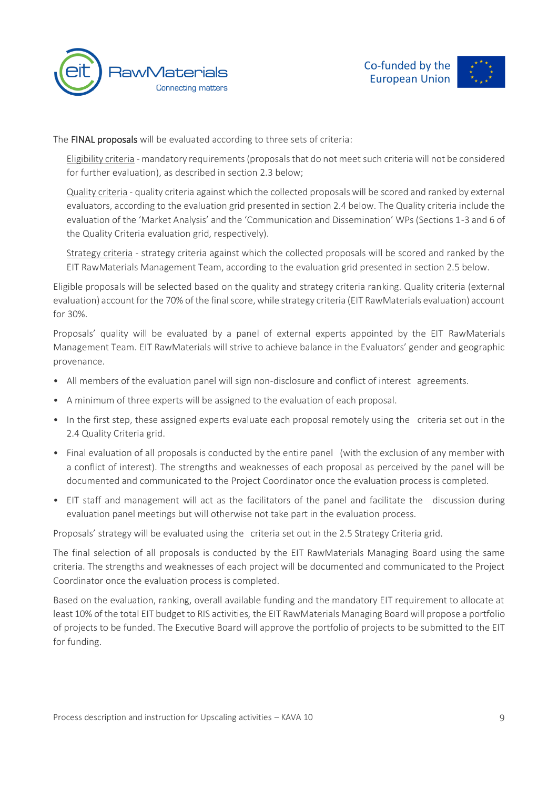



The FINAL proposals will be evaluated according to three sets of criteria:

Eligibility criteria - mandatory requirements (proposals that do not meet such criteria will not be considered for further evaluation), as described in section 2.3 below;

Quality criteria - quality criteria against which the collected proposals will be scored and ranked by external evaluators, according to the evaluation grid presented in section 2.4 below. The Quality criteria include the evaluation of the 'Market Analysis' and the 'Communication and Dissemination' WPs (Sections 1-3 and 6 of the Quality Criteria evaluation grid, respectively).

Strategy criteria - strategy criteria against which the collected proposals will be scored and ranked by the EIT RawMaterials Management Team, according to the evaluation grid presented in section 2.5 below.

Eligible proposals will be selected based on the quality and strategy criteria ranking. Quality criteria (external evaluation) account for the 70% of the final score, while strategy criteria (EIT RawMaterials evaluation) account for 30%.

Proposals' quality will be evaluated by a panel of external experts appointed by the EIT RawMaterials Management Team. EIT RawMaterials will strive to achieve balance in the Evaluators' gender and geographic provenance.

- All members of the evaluation panel will sign non-disclosure and conflict of interest agreements.
- A minimum of three experts will be assigned to the evaluation of each proposal.
- In the first step, these assigned experts evaluate each proposal remotely using the criteria set out in the 2.4 Quality Criteria grid.
- Final evaluation of all proposals is conducted by the entire panel (with the exclusion of any member with a conflict of interest). The strengths and weaknesses of each proposal as perceived by the panel will be documented and communicated to the Project Coordinator once the evaluation process is completed.
- EIT staff and management will act as the facilitators of the panel and facilitate the discussion during evaluation panel meetings but will otherwise not take part in the evaluation process.

Proposals' strategy will be evaluated using the criteria set out in the 2.5 Strategy Criteria grid.

The final selection of all proposals is conducted by the EIT RawMaterials Managing Board using the same criteria. The strengths and weaknesses of each project will be documented and communicated to the Project Coordinator once the evaluation process is completed.

Based on the evaluation, ranking, overall available funding and the mandatory EIT requirement to allocate at least 10% of the total EIT budget to RIS activities, the EIT RawMaterials Managing Board will propose a portfolio of projects to be funded. The Executive Board will approve the portfolio of projects to be submitted to the EIT for funding.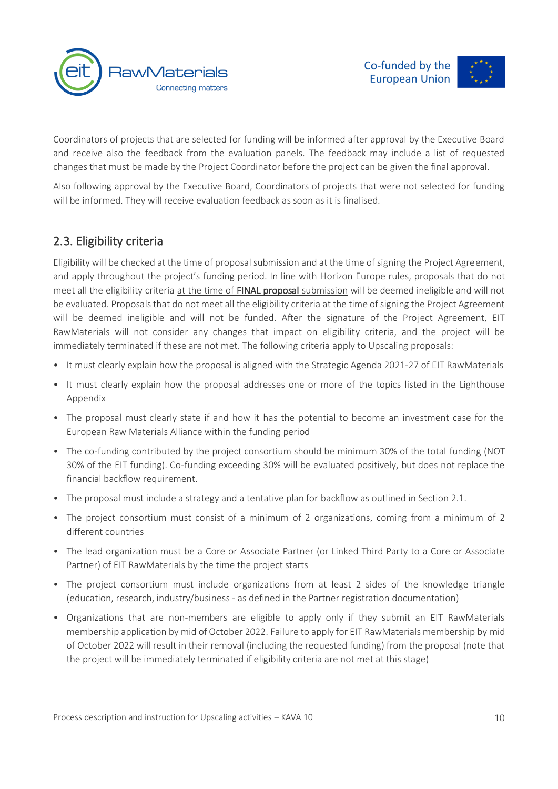

Coordinators of projects that are selected for funding will be informed after approval by the Executive Board and receive also the feedback from the evaluation panels. The feedback may include a list of requested changes that must be made by the Project Coordinator before the project can be given the final approval.

Also following approval by the Executive Board, Coordinators of projects that were not selected for funding will be informed. They will receive evaluation feedback as soon as it is finalised.

# 2.3. Eligibility criteria

Eligibility will be checked at the time of proposal submission and at the time of signing the Project Agreement, and apply throughout the project's funding period. In line with Horizon Europe rules, proposals that do not meet all the eligibility criteria at the time of FINAL proposal submission will be deemed ineligible and will not be evaluated. Proposals that do not meet all the eligibility criteria at the time of signing the Project Agreement will be deemed ineligible and will not be funded. After the signature of the Project Agreement, EIT RawMaterials will not consider any changes that impact on eligibility criteria, and the project will be immediately terminated if these are not met. The following criteria apply to Upscaling proposals:

- It must clearly explain how the proposal is aligned with the Strategic Agenda 2021-27 of EIT RawMaterials
- It must clearly explain how the proposal addresses one or more of the topics listed in the Lighthouse Appendix
- The proposal must clearly state if and how it has the potential to become an investment case for the European Raw Materials Alliance within the funding period
- The co-funding contributed by the project consortium should be minimum 30% of the total funding (NOT 30% of the EIT funding). Co-funding exceeding 30% will be evaluated positively, but does not replace the financial backflow requirement.
- The proposal must include a strategy and a tentative plan for backflow as outlined in Section 2.1.
- The project consortium must consist of a minimum of 2 organizations, coming from a minimum of 2 different countries
- The lead organization must be a Core or Associate Partner (or Linked Third Party to a Core or Associate Partner) of EIT RawMaterials by the time the project starts
- The project consortium must include organizations from at least 2 sides of the knowledge triangle (education, research, industry/business - as defined in the Partner registration documentation)
- Organizations that are non-members are eligible to apply only if they submit an EIT RawMaterials membership application by mid of October 2022. Failure to apply for EIT RawMaterials membership by mid of October 2022 will result in their removal (including the requested funding) from the proposal (note that the project will be immediately terminated if eligibility criteria are not met at this stage)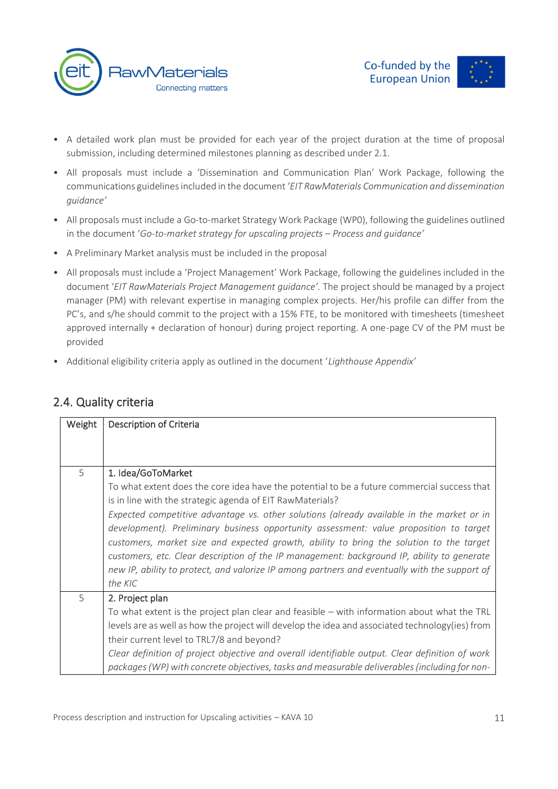



- A detailed work plan must be provided for each year of the project duration at the time of proposal submission, including determined milestones planning as described under 2.1.
- All proposals must include a 'Dissemination and Communication Plan' Work Package, following the communications guidelines included in the document '*EIT RawMaterials Communication and dissemination guidance'*
- All proposals must include a Go-to-market Strategy Work Package (WP0), following the guidelines outlined in the document '*Go-to-market strategy for upscaling projects – Process and guidance'*
- A Preliminary Market analysis must be included in the proposal
- All proposals must include a 'Project Management' Work Package, following the guidelines included in the document '*EIT RawMaterials Project Management guidance'.* The project should be managed by a project manager (PM) with relevant expertise in managing complex projects. Her/his profile can differ from the PC's, and s/he should commit to the project with a 15% FTE, to be monitored with timesheets (timesheet approved internally + declaration of honour) during project reporting. A one-page CV of the PM must be provided
- Additional eligibility criteria apply as outlined in the document '*Lighthouse Appendix'*

| Weight | Description of Criteria                                                                                                                                                                                                                                                                                                                                                                                                                                                                                                                                                                                                                                                    |
|--------|----------------------------------------------------------------------------------------------------------------------------------------------------------------------------------------------------------------------------------------------------------------------------------------------------------------------------------------------------------------------------------------------------------------------------------------------------------------------------------------------------------------------------------------------------------------------------------------------------------------------------------------------------------------------------|
| 5      | 1. Idea/GoToMarket<br>To what extent does the core idea have the potential to be a future commercial success that<br>is in line with the strategic agenda of EIT RawMaterials?<br>Expected competitive advantage vs. other solutions (already available in the market or in<br>development). Preliminary business opportunity assessment: value proposition to target<br>customers, market size and expected growth, ability to bring the solution to the target<br>customers, etc. Clear description of the IP management: background IP, ability to generate<br>new IP, ability to protect, and valorize IP among partners and eventually with the support of<br>the KIC |
| 5      | 2. Project plan<br>To what extent is the project plan clear and feasible - with information about what the TRL<br>levels are as well as how the project will develop the idea and associated technology(ies) from<br>their current level to TRL7/8 and beyond?<br>Clear definition of project objective and overall identifiable output. Clear definition of work<br>packages (WP) with concrete objectives, tasks and measurable deliverables (including for non-                                                                                                                                                                                                         |

### 2.4. Quality criteria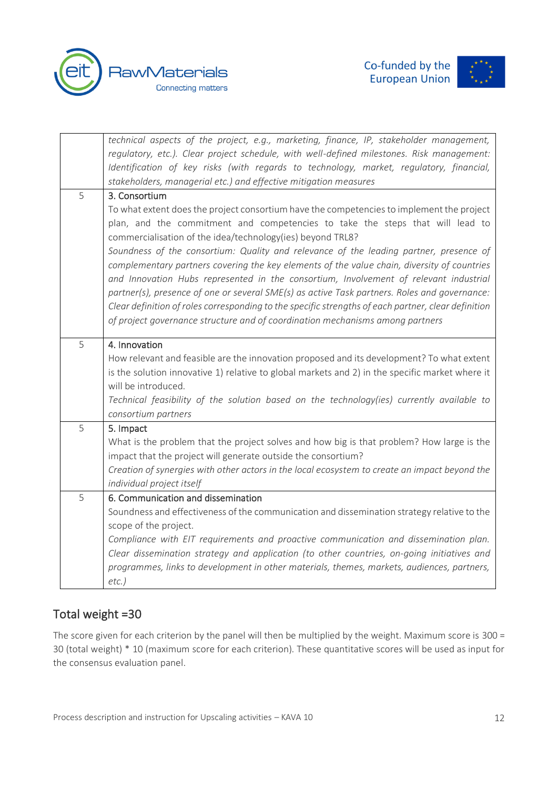





|   | technical aspects of the project, e.g., marketing, finance, IP, stakeholder management,             |  |  |  |
|---|-----------------------------------------------------------------------------------------------------|--|--|--|
|   | regulatory, etc.). Clear project schedule, with well-defined milestones. Risk management:           |  |  |  |
|   | Identification of key risks (with regards to technology, market, regulatory, financial,             |  |  |  |
|   | stakeholders, managerial etc.) and effective mitigation measures                                    |  |  |  |
| 5 | 3. Consortium                                                                                       |  |  |  |
|   | To what extent does the project consortium have the competencies to implement the project           |  |  |  |
|   | plan, and the commitment and competencies to take the steps that will lead to                       |  |  |  |
|   | commercialisation of the idea/technology(ies) beyond TRL8?                                          |  |  |  |
|   | Soundness of the consortium: Quality and relevance of the leading partner, presence of              |  |  |  |
|   | complementary partners covering the key elements of the value chain, diversity of countries         |  |  |  |
|   | and Innovation Hubs represented in the consortium, Involvement of relevant industrial               |  |  |  |
|   | partner(s), presence of one or several SME(s) as active Task partners. Roles and governance:        |  |  |  |
|   | Clear definition of roles corresponding to the specific strengths of each partner, clear definition |  |  |  |
|   | of project governance structure and of coordination mechanisms among partners                       |  |  |  |
| 5 | 4. Innovation                                                                                       |  |  |  |
|   | How relevant and feasible are the innovation proposed and its development? To what extent           |  |  |  |
|   | is the solution innovative 1) relative to global markets and 2) in the specific market where it     |  |  |  |
|   | will be introduced.                                                                                 |  |  |  |
|   | Technical feasibility of the solution based on the technology(ies) currently available to           |  |  |  |
|   | consortium partners                                                                                 |  |  |  |
| 5 | 5. Impact                                                                                           |  |  |  |
|   | What is the problem that the project solves and how big is that problem? How large is the           |  |  |  |
|   | impact that the project will generate outside the consortium?                                       |  |  |  |
|   | Creation of synergies with other actors in the local ecosystem to create an impact beyond the       |  |  |  |
|   | individual project itself                                                                           |  |  |  |
| 5 | 6. Communication and dissemination                                                                  |  |  |  |
|   | Soundness and effectiveness of the communication and dissemination strategy relative to the         |  |  |  |
|   | scope of the project.                                                                               |  |  |  |
|   | Compliance with EIT requirements and proactive communication and dissemination plan.                |  |  |  |
|   | Clear dissemination strategy and application (to other countries, on-going initiatives and          |  |  |  |
|   | programmes, links to development in other materials, themes, markets, audiences, partners,          |  |  |  |
|   | $etc.$ )                                                                                            |  |  |  |

# Total weight =30

The score given for each criterion by the panel will then be multiplied by the weight. Maximum score is 300 = 30 (total weight) \* 10 (maximum score for each criterion). These quantitative scores will be used as input for the consensus evaluation panel.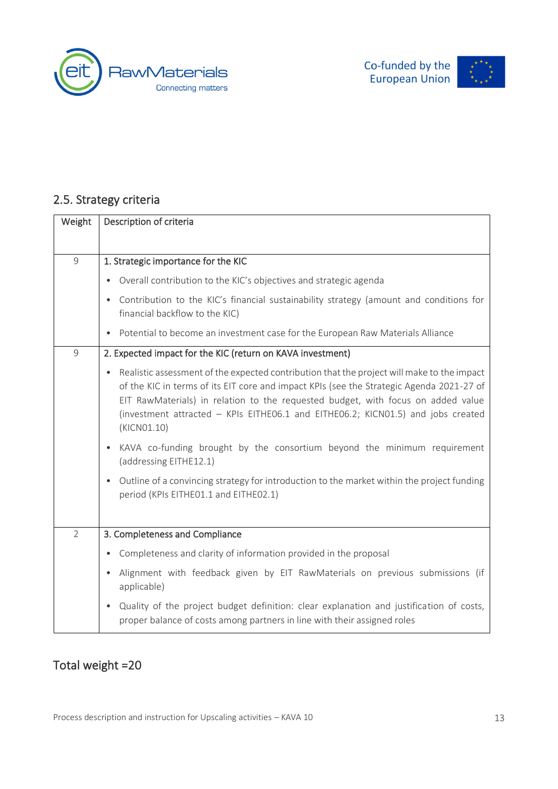



# 2.5. Strategy criteria

| Weight         | Description of criteria                                                                                                                                                                                                                                                                                                                                                                    |
|----------------|--------------------------------------------------------------------------------------------------------------------------------------------------------------------------------------------------------------------------------------------------------------------------------------------------------------------------------------------------------------------------------------------|
| $\overline{9}$ | 1. Strategic importance for the KIC                                                                                                                                                                                                                                                                                                                                                        |
|                | Overall contribution to the KIC's objectives and strategic agenda<br>$\bullet$                                                                                                                                                                                                                                                                                                             |
|                | Contribution to the KIC's financial sustainability strategy (amount and conditions for<br>$\bullet$<br>financial backflow to the KIC)                                                                                                                                                                                                                                                      |
|                | Potential to become an investment case for the European Raw Materials Alliance<br>$\bullet$                                                                                                                                                                                                                                                                                                |
| $\overline{9}$ | 2. Expected impact for the KIC (return on KAVA investment)                                                                                                                                                                                                                                                                                                                                 |
|                | Realistic assessment of the expected contribution that the project will make to the impact<br>$\bullet$<br>of the KIC in terms of its EIT core and impact KPIs (see the Strategic Agenda 2021-27 of<br>EIT RawMaterials) in relation to the requested budget, with focus on added value<br>(investment attracted - KPIs EITHE06.1 and EITHE06.2; KICN01.5) and jobs created<br>(KICN01.10) |
|                | KAVA co-funding brought by the consortium beyond the minimum requirement<br>$\bullet$<br>(addressing EITHE12.1)                                                                                                                                                                                                                                                                            |
|                | Outline of a convincing strategy for introduction to the market within the project funding<br>$\bullet$<br>period (KPIs EITHE01.1 and EITHE02.1)                                                                                                                                                                                                                                           |
| $\overline{2}$ | 3. Completeness and Compliance                                                                                                                                                                                                                                                                                                                                                             |
|                | Completeness and clarity of information provided in the proposal<br>$\bullet$                                                                                                                                                                                                                                                                                                              |
|                | Alignment with feedback given by EIT RawMaterials on previous submissions (if<br>$\bullet$<br>applicable)                                                                                                                                                                                                                                                                                  |
|                | Quality of the project budget definition: clear explanation and justification of costs,<br>$\bullet$<br>proper balance of costs among partners in line with their assigned roles                                                                                                                                                                                                           |

# Total weight =20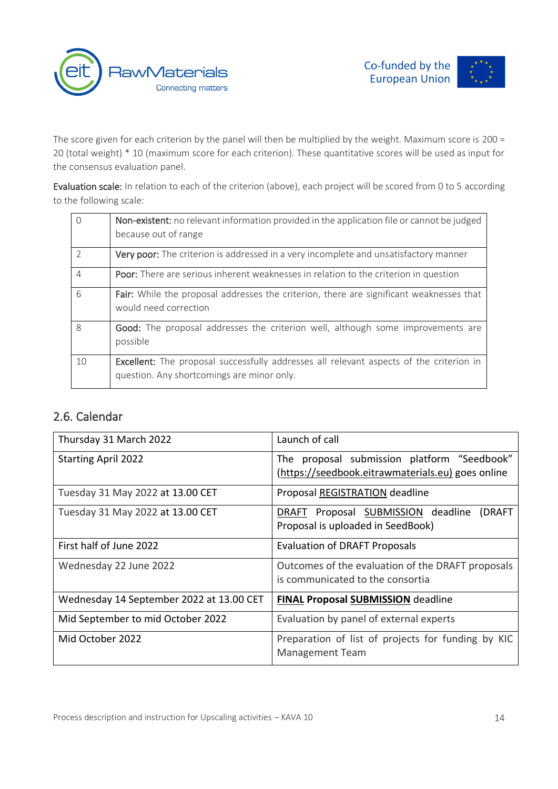



The score given for each criterion by the panel will then be multiplied by the weight. Maximum score is 200 = 20 (total weight) \* 10 (maximum score for each criterion). These quantitative scores will be used as input for the consensus evaluation panel.

Evaluation scale: In relation to each of the criterion (above), each project will be scored from 0 to 5 according to the following scale:

| $\bigcap$      | Non-existent: no relevant information provided in the application file or cannot be judged<br>because out of range                           |
|----------------|----------------------------------------------------------------------------------------------------------------------------------------------|
| $\mathcal{P}$  | <b>Very poor:</b> The criterion is addressed in a very incomplete and unsatisfactory manner                                                  |
| $\overline{4}$ | <b>Poor:</b> There are serious inherent weaknesses in relation to the criterion in question                                                  |
| 6              | Fair: While the proposal addresses the criterion, there are significant weaknesses that<br>would need correction                             |
| 8              | Good: The proposal addresses the criterion well, although some improvements are<br>possible                                                  |
| 10             | <b>Excellent:</b> The proposal successfully addresses all relevant aspects of the criterion in<br>question. Any shortcomings are minor only. |

# 2.6. Calendar

| Thursday 31 March 2022                   | Launch of call                                                                                   |
|------------------------------------------|--------------------------------------------------------------------------------------------------|
| <b>Starting April 2022</b>               | The proposal submission platform "Seedbook"<br>(https://seedbook.eitrawmaterials.eu) goes online |
| Tuesday 31 May 2022 at 13.00 CET         | Proposal REGISTRATION deadline                                                                   |
| Tuesday 31 May 2022 at 13.00 CET         | Proposal SUBMISSION deadline (DRAFT<br><b>DRAFT</b><br>Proposal is uploaded in SeedBook)         |
| First half of June 2022                  | <b>Evaluation of DRAFT Proposals</b>                                                             |
| Wednesday 22 June 2022                   | Outcomes of the evaluation of the DRAFT proposals<br>is communicated to the consortia            |
| Wednesday 14 September 2022 at 13.00 CET | <b>FINAL Proposal SUBMISSION deadline</b>                                                        |
| Mid September to mid October 2022        | Evaluation by panel of external experts                                                          |
| Mid October 2022                         | Preparation of list of projects for funding by KIC<br>Management Team                            |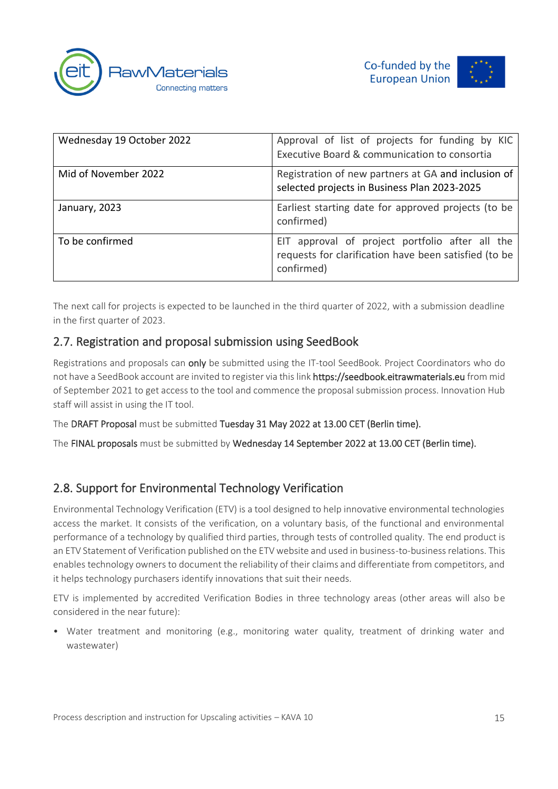



| Wednesday 19 October 2022 | Approval of list of projects for funding by KIC<br>Executive Board & communication to consortia                        |
|---------------------------|------------------------------------------------------------------------------------------------------------------------|
| Mid of November 2022      | Registration of new partners at GA and inclusion of<br>selected projects in Business Plan 2023-2025                    |
| January, 2023             | Earliest starting date for approved projects (to be<br>confirmed)                                                      |
| To be confirmed           | EIT approval of project portfolio after all the<br>requests for clarification have been satisfied (to be<br>confirmed) |

The next call for projects is expected to be launched in the third quarter of 2022, with a submission deadline in the first quarter of 2023.

# 2.7. Registration and proposal submission using SeedBook

Registrations and proposals can only be submitted using the IT-tool SeedBook. Project Coordinators who do not have a SeedBook account are invited to register via this link https://seedbook.eitrawmaterials.eu from mid of September 2021 to get access to the tool and commence the proposal submission process. Innovation Hub staff will assist in using the IT tool.

The DRAFT Proposal must be submitted Tuesday 31 May 2022 at 13.00 CET (Berlin time).

The FINAL proposals must be submitted by Wednesday 14 September 2022 at 13.00 CET (Berlin time).

# 2.8. Support for Environmental Technology Verification

Environmental Technology Verification (ETV) is a tool designed to help innovative environmental technologies access the market. It consists of the verification, on a voluntary basis, of the functional and environmental performance of a technology by qualified third parties, through tests of controlled quality. The end product is an ETV Statement of Verification published on the ETV website and used in business-to-business relations. This enables technology owners to document the reliability of their claims and differentiate from competitors, and it helps technology purchasers identify innovations that suit their needs.

ETV is implemented by accredited Verification Bodies in three technology areas (other areas will also be considered in the near future):

• Water treatment and monitoring (e.g., monitoring water quality, treatment of drinking water and wastewater)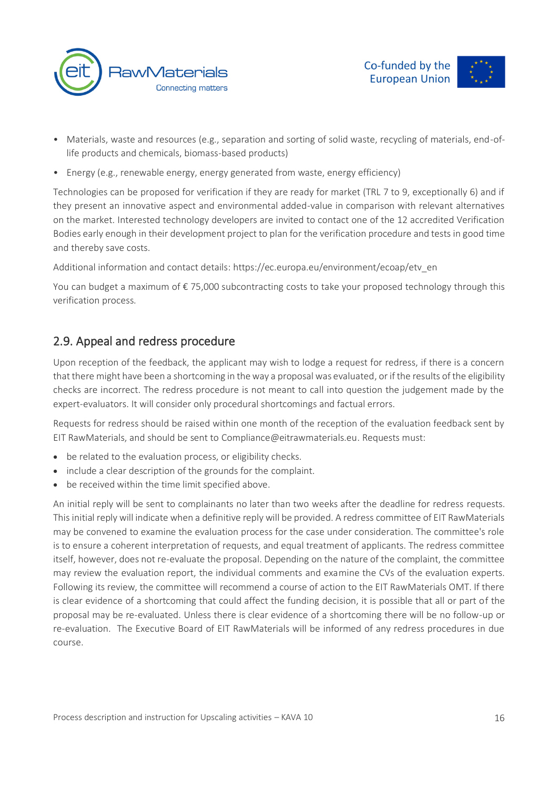



- Materials, waste and resources (e.g., separation and sorting of solid waste, recycling of materials, end-oflife products and chemicals, biomass-based products)
- Energy (e.g., renewable energy, energy generated from waste, energy efficiency)

Technologies can be proposed for verification if they are ready for market (TRL 7 to 9, exceptionally 6) and if they present an innovative aspect and environmental added-value in comparison with relevant alternatives on the market. Interested technology developers are invited to contact one of the 12 accredited Verification Bodies early enough in their development project to plan for the verification procedure and tests in good time and thereby save costs.

Additional information and contact details: https://ec.europa.eu/environment/ecoap/etv\_en

You can budget a maximum of € 75,000 subcontracting costs to take your proposed technology through this verification process.

# 2.9. Appeal and redress procedure

Upon reception of the feedback, the applicant may wish to lodge a request for redress, if there is a concern that there might have been a shortcoming in the way a proposal was evaluated, or if the results of the eligibility checks are incorrect. The redress procedure is not meant to call into question the judgement made by the expert-evaluators. It will consider only procedural shortcomings and factual errors.

Requests for redress should be raised within one month of the reception of the evaluation feedback sent by EIT RawMaterials, and should be sent to [Compliance@eitrawmaterials.eu.](mailto:Compliance@eitrawmaterials.eu) Requests must:

- be related to the evaluation process, or eligibility checks.
- include a clear description of the grounds for the complaint.
- be received within the time limit specified above.

An initial reply will be sent to complainants no later than two weeks after the deadline for redress requests. This initial reply will indicate when a definitive reply will be provided. A redress committee of EIT RawMaterials may be convened to examine the evaluation process for the case under consideration. The committee's role is to ensure a coherent interpretation of requests, and equal treatment of applicants. The redress committee itself, however, does not re-evaluate the proposal. Depending on the nature of the complaint, the committee may review the evaluation report, the individual comments and examine the CVs of the evaluation experts. Following its review, the committee will recommend a course of action to the EIT RawMaterials OMT. If there is clear evidence of a shortcoming that could affect the funding decision, it is possible that all or part of the proposal may be re-evaluated. Unless there is clear evidence of a shortcoming there will be no follow-up or re-evaluation. The Executive Board of EIT RawMaterials will be informed of any redress procedures in due course.